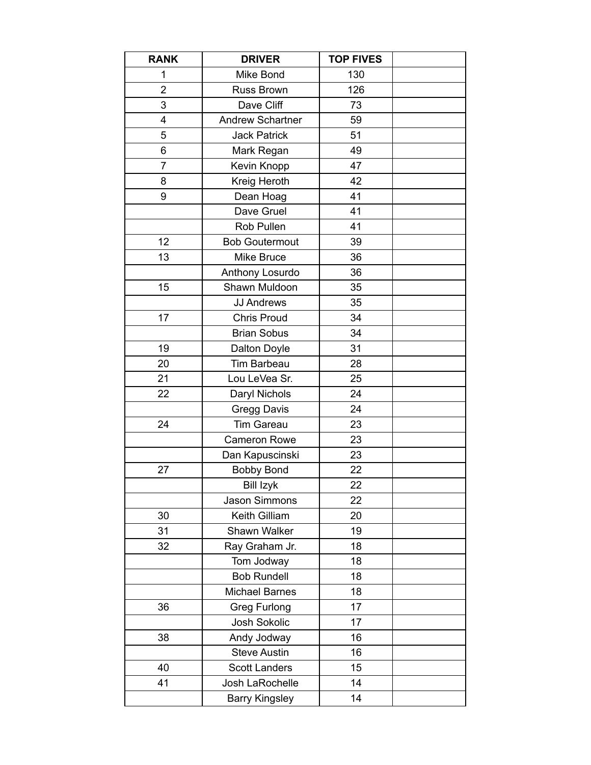| <b>RANK</b>    | <b>DRIVER</b>           | <b>TOP FIVES</b> |  |
|----------------|-------------------------|------------------|--|
| 1              | Mike Bond               | 130              |  |
| $\overline{2}$ | <b>Russ Brown</b>       | 126              |  |
| 3              | Dave Cliff              | 73               |  |
| 4              | <b>Andrew Schartner</b> | 59               |  |
| 5              | <b>Jack Patrick</b>     | 51               |  |
| 6              | Mark Regan              | 49               |  |
| 7              | Kevin Knopp             | 47               |  |
| 8              | Kreig Heroth            | 42               |  |
| 9              | Dean Hoag               | 41               |  |
|                | Dave Gruel              | 41               |  |
|                | Rob Pullen              | 41               |  |
| 12             | <b>Bob Goutermout</b>   | 39               |  |
| 13             | Mike Bruce              | 36               |  |
|                | Anthony Losurdo         | 36               |  |
| 15             | Shawn Muldoon           | 35               |  |
|                | <b>JJ Andrews</b>       | 35               |  |
| 17             | <b>Chris Proud</b>      | 34               |  |
|                | <b>Brian Sobus</b>      | 34               |  |
| 19             | Dalton Doyle            | 31               |  |
| 20             | Tim Barbeau             | 28               |  |
| 21             | Lou LeVea Sr.           | 25               |  |
| 22             | Daryl Nichols           | 24               |  |
|                | Gregg Davis             | 24               |  |
| 24             | <b>Tim Gareau</b>       | 23               |  |
|                | <b>Cameron Rowe</b>     | 23               |  |
|                | Dan Kapuscinski         | 23               |  |
| 27             | <b>Bobby Bond</b>       | 22               |  |
|                | <b>Bill Izyk</b>        | 22               |  |
|                | Jason Simmons           | 22               |  |
| 30             | Keith Gilliam           | 20               |  |
| 31             | Shawn Walker            | 19               |  |
| 32             | Ray Graham Jr.          | 18               |  |
|                | Tom Jodway              | 18               |  |
|                | <b>Bob Rundell</b>      | 18               |  |
|                | <b>Michael Barnes</b>   | 18               |  |
| 36             | <b>Greg Furlong</b>     | 17               |  |
|                | Josh Sokolic            | 17               |  |
| 38             | Andy Jodway             | 16               |  |
|                | <b>Steve Austin</b>     | 16               |  |
| 40             | <b>Scott Landers</b>    | 15               |  |
| 41             | Josh LaRochelle         | 14               |  |
|                | <b>Barry Kingsley</b>   | 14               |  |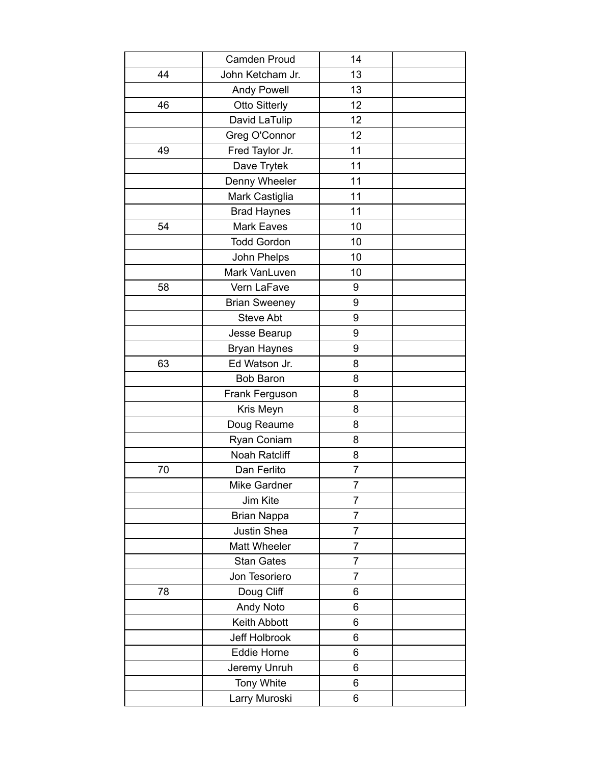|    | <b>Camden Proud</b>  | 14             |  |
|----|----------------------|----------------|--|
| 44 | John Ketcham Jr.     | 13             |  |
|    | <b>Andy Powell</b>   | 13             |  |
| 46 | <b>Otto Sitterly</b> | 12             |  |
|    | David LaTulip        | 12             |  |
|    | Greg O'Connor        | 12             |  |
| 49 | Fred Taylor Jr.      | 11             |  |
|    | Dave Trytek          | 11             |  |
|    | Denny Wheeler        | 11             |  |
|    | Mark Castiglia       | 11             |  |
|    | <b>Brad Haynes</b>   | 11             |  |
| 54 | <b>Mark Eaves</b>    | 10             |  |
|    | <b>Todd Gordon</b>   | 10             |  |
|    | John Phelps          | 10             |  |
|    | Mark VanLuven        | 10             |  |
| 58 | Vern LaFave          | 9              |  |
|    | <b>Brian Sweeney</b> | 9              |  |
|    | <b>Steve Abt</b>     | 9              |  |
|    | Jesse Bearup         | 9              |  |
|    | <b>Bryan Haynes</b>  | 9              |  |
| 63 | Ed Watson Jr.        | 8              |  |
|    | <b>Bob Baron</b>     | 8              |  |
|    | Frank Ferguson       | 8              |  |
|    | Kris Meyn            | 8              |  |
|    | Doug Reaume          | 8              |  |
|    | Ryan Coniam          | 8              |  |
|    | Noah Ratcliff        | 8              |  |
| 70 | Dan Ferlito          | 7              |  |
|    | Mike Gardner         | 7              |  |
|    | Jim Kite             | $\overline{7}$ |  |
|    | <b>Brian Nappa</b>   | 7              |  |
|    | Justin Shea          | 7              |  |
|    | <b>Matt Wheeler</b>  | 7              |  |
|    | <b>Stan Gates</b>    | 7              |  |
|    | Jon Tesoriero        | 7              |  |
| 78 | Doug Cliff           | 6              |  |
|    | <b>Andy Noto</b>     | 6              |  |
|    | Keith Abbott         | 6              |  |
|    | Jeff Holbrook        | 6              |  |
|    | Eddie Horne          | 6              |  |
|    | Jeremy Unruh         | 6              |  |
|    | Tony White           | 6              |  |
|    | Larry Muroski        | 6              |  |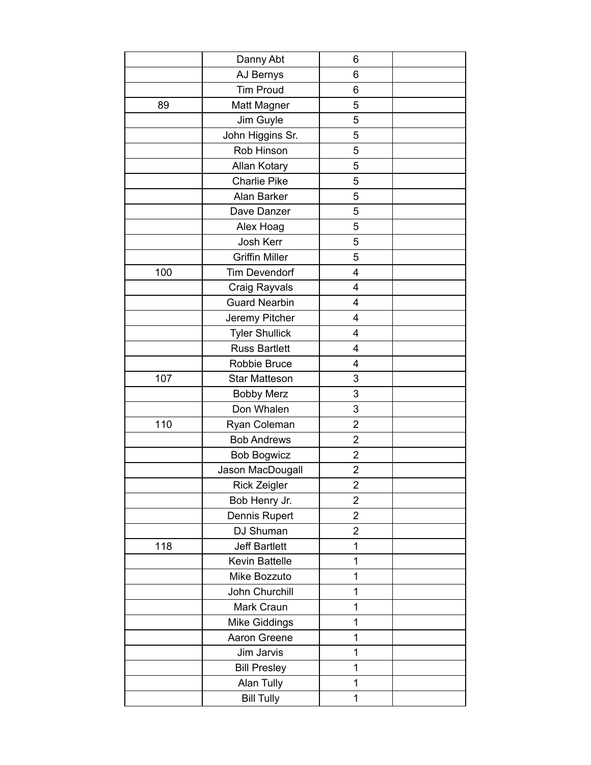|     | Danny Abt             | 6                       |  |
|-----|-----------------------|-------------------------|--|
|     | AJ Bernys             | 6                       |  |
|     | <b>Tim Proud</b>      | 6                       |  |
| 89  | Matt Magner           | 5                       |  |
|     | Jim Guyle             | 5                       |  |
|     | John Higgins Sr.      | 5                       |  |
|     | Rob Hinson            | 5                       |  |
|     | Allan Kotary          | 5                       |  |
|     | <b>Charlie Pike</b>   | 5                       |  |
|     | Alan Barker           | 5                       |  |
|     | Dave Danzer           | 5                       |  |
|     | Alex Hoag             | 5                       |  |
|     | Josh Kerr             | 5                       |  |
|     | <b>Griffin Miller</b> | 5                       |  |
| 100 | <b>Tim Devendorf</b>  | $\overline{4}$          |  |
|     | Craig Rayvals         | 4                       |  |
|     | <b>Guard Nearbin</b>  | $\overline{4}$          |  |
|     | Jeremy Pitcher        | 4                       |  |
|     | <b>Tyler Shullick</b> | $\overline{4}$          |  |
|     | <b>Russ Bartlett</b>  | 4                       |  |
|     | Robbie Bruce          | $\overline{4}$          |  |
| 107 | <b>Star Matteson</b>  | 3                       |  |
|     | <b>Bobby Merz</b>     | 3                       |  |
|     | Don Whalen            | 3                       |  |
| 110 | Ryan Coleman          | $\overline{2}$          |  |
|     | <b>Bob Andrews</b>    | $\overline{2}$          |  |
|     | <b>Bob Bogwicz</b>    | $\overline{2}$          |  |
|     | Jason MacDougall      | $\overline{c}$          |  |
|     | Rick Zeigler          | $\overline{\mathbf{c}}$ |  |
|     | Bob Henry Jr.         | $\overline{2}$          |  |
|     | Dennis Rupert         | $\overline{2}$          |  |
|     | DJ Shuman             | $\overline{2}$          |  |
| 118 | <b>Jeff Bartlett</b>  | $\mathbf 1$             |  |
|     | <b>Kevin Battelle</b> | 1                       |  |
|     | Mike Bozzuto          | 1                       |  |
|     | John Churchill        | 1                       |  |
|     | Mark Craun            | 1                       |  |
|     | Mike Giddings         | 1                       |  |
|     | Aaron Greene          | 1                       |  |
|     | Jim Jarvis            | 1                       |  |
|     | <b>Bill Presley</b>   | 1                       |  |
|     | Alan Tully            | 1                       |  |
|     | <b>Bill Tully</b>     | 1                       |  |